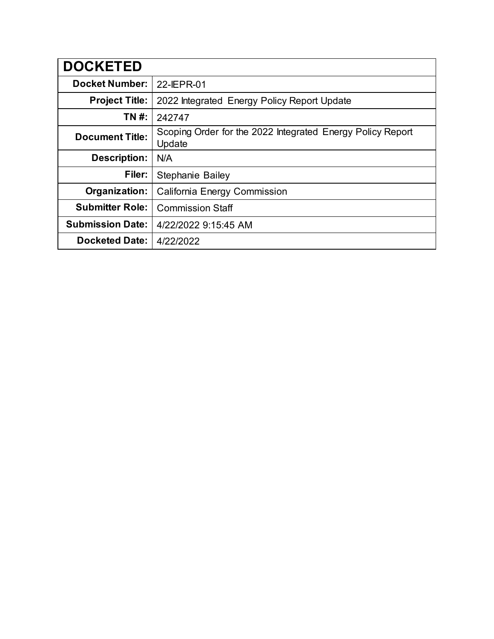| <b>DOCKETED</b>         |                                                                      |
|-------------------------|----------------------------------------------------------------------|
| <b>Docket Number:</b>   | 22-IEPR-01                                                           |
| <b>Project Title:</b>   | 2022 Integrated Energy Policy Report Update                          |
| TN #:                   | 242747                                                               |
| <b>Document Title:</b>  | Scoping Order for the 2022 Integrated Energy Policy Report<br>Update |
| <b>Description:</b>     | N/A                                                                  |
| Filer:                  | Stephanie Bailey                                                     |
| Organization:           | California Energy Commission                                         |
| <b>Submitter Role:</b>  | <b>Commission Staff</b>                                              |
| <b>Submission Date:</b> | 4/22/2022 9:15:45 AM                                                 |
| <b>Docketed Date:</b>   | 4/22/2022                                                            |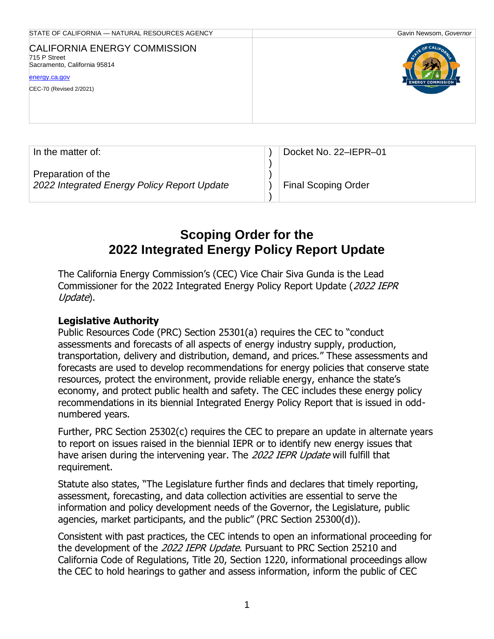| STATE OF CALIFORNIA - NATURAL RESOURCES AGENCY                                                                                  | Gavin Newsom, Governor                    |
|---------------------------------------------------------------------------------------------------------------------------------|-------------------------------------------|
| <b>CALIFORNIA ENERGY COMMISSION</b><br>715 P Street<br>Sacramento, California 95814<br>energy.ca.gov<br>CEC-70 (Revised 2/2021) | TE OF CALIFOL<br><b>ENERGY COMMISSION</b> |
|                                                                                                                                 |                                           |

| In the matter of:                                                 | Docket No. 22-IEPR-01      |
|-------------------------------------------------------------------|----------------------------|
|                                                                   |                            |
| Preparation of the<br>2022 Integrated Energy Policy Report Update | <b>Final Scoping Order</b> |
|                                                                   |                            |

# **Scoping Order for the 2022 Integrated Energy Policy Report Update**

The California Energy Commission's (CEC) Vice Chair Siva Gunda is the Lead Commissioner for the 2022 Integrated Energy Policy Report Update (2022 IEPR Update).

#### **Legislative Authority**

Public Resources Code (PRC) Section 25301(a) requires the CEC to "conduct assessments and forecasts of all aspects of energy industry supply, production, transportation, delivery and distribution, demand, and prices." These assessments and forecasts are used to develop recommendations for energy policies that conserve state resources, protect the environment, provide reliable energy, enhance the state's economy, and protect public health and safety. The CEC includes these energy policy recommendations in its biennial Integrated Energy Policy Report that is issued in oddnumbered years.

Further, PRC Section 25302(c) requires the CEC to prepare an update in alternate years to report on issues raised in the biennial IEPR or to identify new energy issues that have arisen during the intervening year. The 2022 IEPR Update will fulfill that requirement.

Statute also states, "The Legislature further finds and declares that timely reporting, assessment, forecasting, and data collection activities are essential to serve the information and policy development needs of the Governor, the Legislature, public agencies, market participants, and the public" (PRC Section 25300(d)).

Consistent with past practices, the CEC intends to open an informational proceeding for the development of the 2022 IEPR Update. Pursuant to PRC Section 25210 and California Code of Regulations, Title 20, Section 1220, informational proceedings allow the CEC to hold hearings to gather and assess information, inform the public of CEC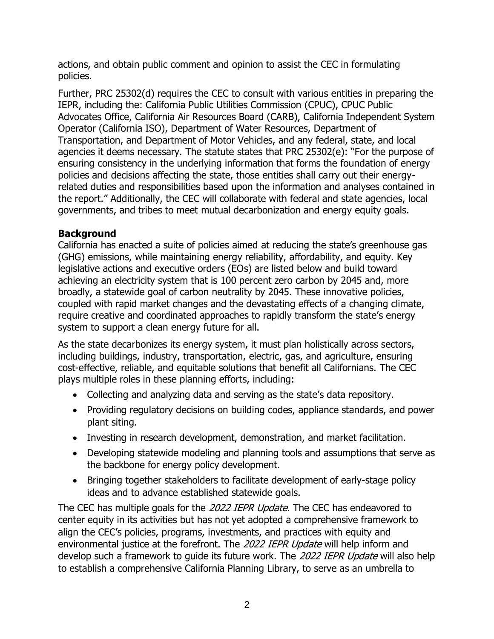actions, and obtain public comment and opinion to assist the CEC in formulating policies.

Further, PRC 25302(d) requires the CEC to consult with various entities in preparing the IEPR, including the: California Public Utilities Commission (CPUC), CPUC Public Advocates Office, California Air Resources Board (CARB), California Independent System Operator (California ISO), Department of Water Resources, Department of Transportation, and Department of Motor Vehicles, and any federal, state, and local agencies it deems necessary. The statute states that PRC 25302(e): "For the purpose of ensuring consistency in the underlying information that forms the foundation of energy policies and decisions affecting the state, those entities shall carry out their energyrelated duties and responsibilities based upon the information and analyses contained in the report." Additionally, the CEC will collaborate with federal and state agencies, local governments, and tribes to meet mutual decarbonization and energy equity goals.

## **Background**

California has enacted a suite of policies aimed at reducing the state's greenhouse gas (GHG) emissions, while maintaining energy reliability, affordability, and equity. Key legislative actions and executive orders (EOs) are listed below and build toward achieving an electricity system that is 100 percent zero carbon by 2045 and, more broadly, a statewide goal of carbon neutrality by 2045. These innovative policies, coupled with rapid market changes and the devastating effects of a changing climate, require creative and coordinated approaches to rapidly transform the state's energy system to support a clean energy future for all.

As the state decarbonizes its energy system, it must plan holistically across sectors, including buildings, industry, transportation, electric, gas, and agriculture, ensuring cost-effective, reliable, and equitable solutions that benefit all Californians. The CEC plays multiple roles in these planning efforts, including:

- Collecting and analyzing data and serving as the state's data repository.
- Providing regulatory decisions on building codes, appliance standards, and power plant siting.
- Investing in research development, demonstration, and market facilitation.
- Developing statewide modeling and planning tools and assumptions that serve as the backbone for energy policy development.
- Bringing together stakeholders to facilitate development of early-stage policy ideas and to advance established statewide goals.

The CEC has multiple goals for the 2022 IEPR Update. The CEC has endeavored to center equity in its activities but has not yet adopted a comprehensive framework to align the CEC's policies, programs, investments, and practices with equity and environmental justice at the forefront. The 2022 IEPR Update will help inform and develop such a framework to quide its future work. The 2022 IEPR Update will also help to establish a comprehensive California Planning Library, to serve as an umbrella to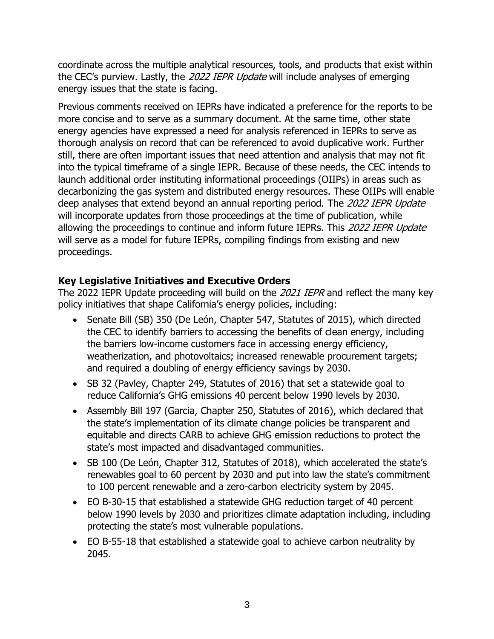coordinate across the multiple analytical resources, tools, and products that exist within the CEC's purview. Lastly, the 2022 IEPR Update will include analyses of emerging energy issues that the state is facing.

Previous comments received on IEPRs have indicated a preference for the reports to be more concise and to serve as a summary document. At the same time, other state energy agencies have expressed a need for analysis referenced in IEPRs to serve as thorough analysis on record that can be referenced to avoid duplicative work. Further still, there are often important issues that need attention and analysis that may not fit into the typical timeframe of a single IEPR. Because of these needs, the CEC intends to launch additional order instituting informational proceedings (OIIPs) in areas such as decarbonizing the gas system and distributed energy resources. These OIIPs will enable deep analyses that extend beyond an annual reporting period. The 2022 IEPR Update will incorporate updates from those proceedings at the time of publication, while allowing the proceedings to continue and inform future IEPRs. This 2022 IEPR Update will serve as a model for future IEPRs, compiling findings from existing and new proceedings.

## **Key Legislative Initiatives and Executive Orders**

The 2022 IEPR Update proceeding will build on the 2021 IEPR and reflect the many key policy initiatives that shape California's energy policies, including:

- Senate Bill (SB) 350 (De León, Chapter 547, Statutes of 2015), which directed the CEC to identify barriers to accessing the benefits of clean energy, including the barriers low-income customers face in accessing energy efficiency, weatherization, and photovoltaics; increased renewable procurement targets; and required a doubling of energy efficiency savings by 2030.
- SB 32 (Pavley, Chapter 249, Statutes of 2016) that set a statewide goal to reduce California's GHG emissions 40 percent below 1990 levels by 2030.
- Assembly Bill 197 (Garcia, Chapter 250, Statutes of 2016), which declared that the state's implementation of its climate change policies be transparent and equitable and directs CARB to achieve GHG emission reductions to protect the state's most impacted and disadvantaged communities.
- SB 100 (De León, Chapter 312, Statutes of 2018), which accelerated the state's renewables goal to 60 percent by 2030 and put into law the state's commitment to 100 percent renewable and a zero-carbon electricity system by 2045.
- EO B-30-15 that established a statewide GHG reduction target of 40 percent below 1990 levels by 2030 and prioritizes climate adaptation including, including protecting the state's most vulnerable populations.
- EO B-55-18 that established a statewide goal to achieve carbon neutrality by 2045.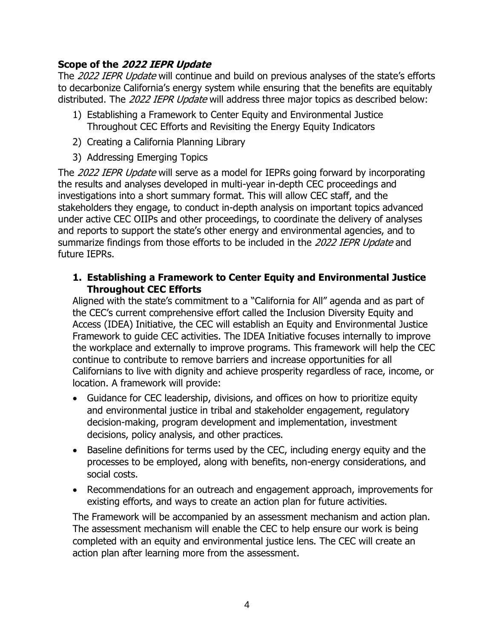#### **Scope of the 2022 IEPR Update**

The 2022 IEPR Update will continue and build on previous analyses of the state's efforts to decarbonize California's energy system while ensuring that the benefits are equitably distributed. The 2022 IEPR Update will address three major topics as described below:

- 1) Establishing a Framework to Center Equity and Environmental Justice Throughout CEC Efforts and Revisiting the Energy Equity Indicators
- 2) Creating a California Planning Library
- 3) Addressing Emerging Topics

The 2022 IEPR Update will serve as a model for IEPRs going forward by incorporating the results and analyses developed in multi-year in-depth CEC proceedings and investigations into a short summary format. This will allow CEC staff, and the stakeholders they engage, to conduct in-depth analysis on important topics advanced under active CEC OIIPs and other proceedings, to coordinate the delivery of analyses and reports to support the state's other energy and environmental agencies, and to summarize findings from those efforts to be included in the 2022 IEPR Update and future IEPRs.

#### **1. Establishing a Framework to Center Equity and Environmental Justice Throughout CEC Efforts**

Aligned with the state's commitment to a "California for All" agenda and as part of the CEC's current comprehensive effort called the Inclusion Diversity Equity and Access (IDEA) Initiative, the CEC will establish an Equity and Environmental Justice Framework to guide CEC activities. The IDEA Initiative focuses internally to improve the workplace and externally to improve programs. This framework will help the CEC continue to contribute to remove barriers and increase opportunities for all Californians to live with dignity and achieve prosperity regardless of race, income, or location. A framework will provide:

- Guidance for CEC leadership, divisions, and offices on how to prioritize equity and environmental justice in tribal and stakeholder engagement, regulatory decision-making, program development and implementation, investment decisions, policy analysis, and other practices.
- Baseline definitions for terms used by the CEC, including energy equity and the processes to be employed, along with benefits, non-energy considerations, and social costs.
- Recommendations for an outreach and engagement approach, improvements for existing efforts, and ways to create an action plan for future activities.

The Framework will be accompanied by an assessment mechanism and action plan. The assessment mechanism will enable the CEC to help ensure our work is being completed with an equity and environmental justice lens. The CEC will create an action plan after learning more from the assessment.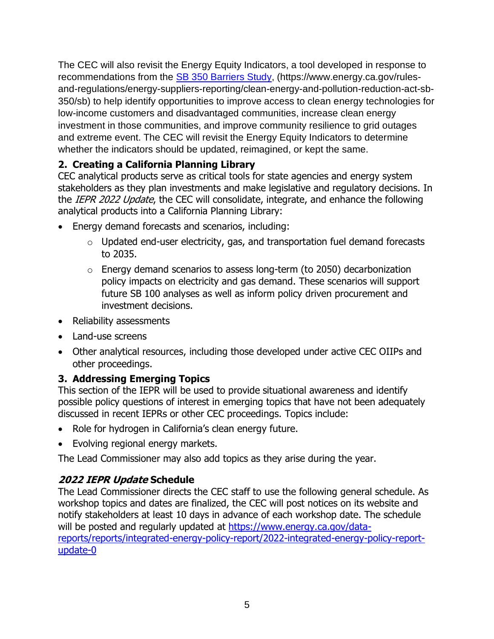The CEC will also revisit the Energy Equity Indicators, a tool developed in response to recommendations from the **SB 350 Barriers Study**, (https://www.energy.ca.gov/rulesand-regulations/energy-suppliers-reporting/clean-energy-and-pollution-reduction-act-sb-350/sb) to help identify opportunities to improve access to clean energy technologies for low-income customers and disadvantaged communities, increase clean energy investment in those communities, and improve community resilience to grid outages and extreme event. The CEC will revisit the Energy Equity Indicators to determine whether the indicators should be updated, reimagined, or kept the same.

## **2. Creating a California Planning Library**

CEC analytical products serve as critical tools for state agencies and energy system stakeholders as they plan investments and make legislative and regulatory decisions. In the IEPR 2022 Update, the CEC will consolidate, integrate, and enhance the following analytical products into a California Planning Library:

- Energy demand forecasts and scenarios, including:
	- $\circ$  Updated end-user electricity, gas, and transportation fuel demand forecasts to 2035.
	- o Energy demand scenarios to assess long-term (to 2050) decarbonization policy impacts on electricity and gas demand. These scenarios will support future SB 100 analyses as well as inform policy driven procurement and investment decisions.
- Reliability assessments
- Land-use screens
- Other analytical resources, including those developed under active CEC OIIPs and other proceedings.

## **3. Addressing Emerging Topics**

This section of the IEPR will be used to provide situational awareness and identify possible policy questions of interest in emerging topics that have not been adequately discussed in recent IEPRs or other CEC proceedings. Topics include:

- Role for hydrogen in California's clean energy future.
- Evolving regional energy markets.

The Lead Commissioner may also add topics as they arise during the year.

## **2022 IEPR Update Schedule**

The Lead Commissioner directs the CEC staff to use the following general schedule. As workshop topics and dates are finalized, the CEC will post notices on its website and notify stakeholders at least 10 days in advance of each workshop date. The schedule will be posted and regularly updated at [https://www.energy.ca.gov/data](https://www.energy.ca.gov/data-reports/reports/integrated-energy-policy-report/2022-integrated-energy-policy-report-update-0)[reports/reports/integrated-energy-policy-report/2022-integrated-energy-policy-report](https://www.energy.ca.gov/data-reports/reports/integrated-energy-policy-report/2022-integrated-energy-policy-report-update-0)[update-0](https://www.energy.ca.gov/data-reports/reports/integrated-energy-policy-report/2022-integrated-energy-policy-report-update-0)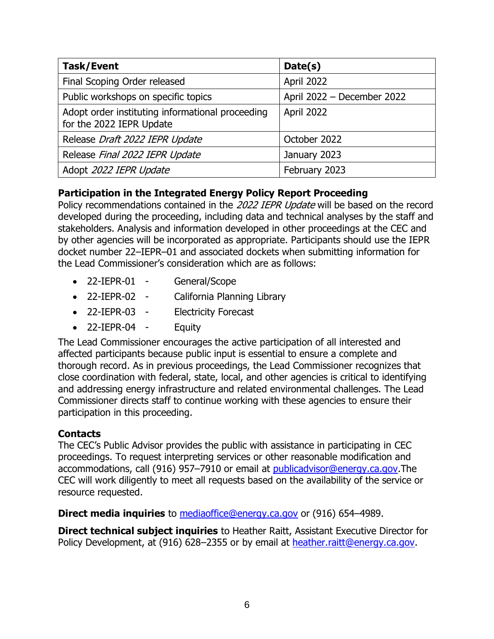| <b>Task/Event</b>                                                            | Date(s)                    |
|------------------------------------------------------------------------------|----------------------------|
| Final Scoping Order released                                                 | April 2022                 |
| Public workshops on specific topics                                          | April 2022 - December 2022 |
| Adopt order instituting informational proceeding<br>for the 2022 IEPR Update | April 2022                 |
| Release Draft 2022 IEPR Update                                               | October 2022               |
| Release Final 2022 IEPR Update                                               | January 2023               |
| Adopt 2022 IEPR Update                                                       | February 2023              |

## **Participation in the Integrated Energy Policy Report Proceeding**

Policy recommendations contained in the 2022 IEPR Update will be based on the record developed during the proceeding, including data and technical analyses by the staff and stakeholders. Analysis and information developed in other proceedings at the CEC and by other agencies will be incorporated as appropriate. Participants should use the IEPR docket number 22–IEPR–01 and associated dockets when submitting information for the Lead Commissioner's consideration which are as follows:

- 22-IEPR-01 General/Scope
- 22-IEPR-02 California Planning Library
- 22-IEPR-03 Electricity Forecast
- 22-IEPR-04 Equity

The Lead Commissioner encourages the active participation of all interested and affected participants because public input is essential to ensure a complete and thorough record. As in previous proceedings, the Lead Commissioner recognizes that close coordination with federal, state, local, and other agencies is critical to identifying and addressing energy infrastructure and related environmental challenges. The Lead Commissioner directs staff to continue working with these agencies to ensure their participation in this proceeding.

## **Contacts**

The CEC's Public Advisor provides the public with assistance in participating in CEC proceedings. To request interpreting services or other reasonable modification and accommodations, call (916) 957–7910 or email at [publicadvisor@energy.ca.gov.](mailto:publicadvisor@energy.ca.gov)The CEC will work diligently to meet all requests based on the availability of the service or resource requested.

**Direct media inquiries** to **mediaoffice@energy.ca.gov** or (916) 654–4989.

**Direct technical subject inquiries** to Heather Raitt, Assistant Executive Director for Policy Development, at (916) 628–2355 or by email at [heather.raitt@energy.ca.gov.](mailto:heather.raitt@energy.ca.gov)